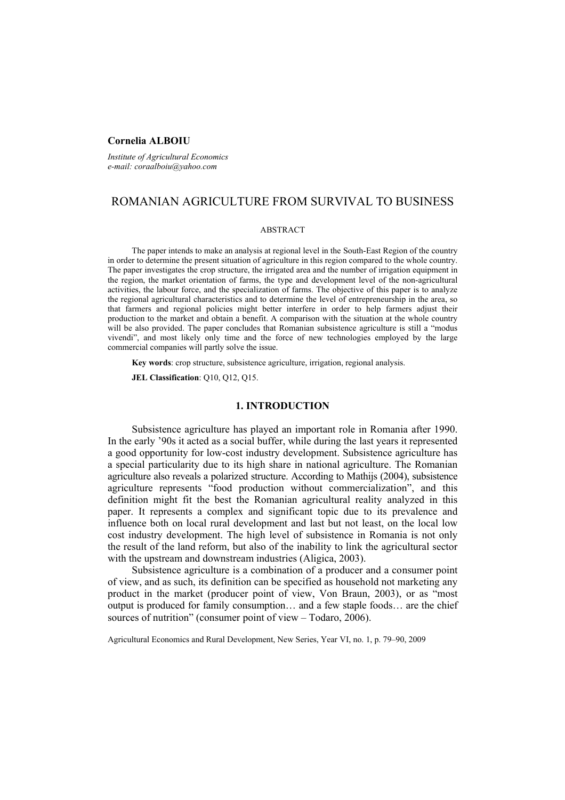## **Cornelia ALBOIU**

*Institute of Agricultural Economics e-mail: coraalboiu@yahoo.com* 

# ROMANIAN AGRICULTURE FROM SURVIVAL TO BUSINESS

#### ABSTRACT

The paper intends to make an analysis at regional level in the South-East Region of the country in order to determine the present situation of agriculture in this region compared to the whole country. The paper investigates the crop structure, the irrigated area and the number of irrigation equipment in the region, the market orientation of farms, the type and development level of the non-agricultural activities, the labour force, and the specialization of farms. The objective of this paper is to analyze the regional agricultural characteristics and to determine the level of entrepreneurship in the area, so that farmers and regional policies might better interfere in order to help farmers adjust their production to the market and obtain a benefit. A comparison with the situation at the whole country will be also provided. The paper concludes that Romanian subsistence agriculture is still a "modus vivendi", and most likely only time and the force of new technologies employed by the large commercial companies will partly solve the issue.

**Key words**: crop structure, subsistence agriculture, irrigation, regional analysis.

**JEL Classification**: Q10, Q12, Q15.

### **1. INTRODUCTION**

Subsistence agriculture has played an important role in Romania after 1990. In the early '90s it acted as a social buffer, while during the last years it represented a good opportunity for low-cost industry development. Subsistence agriculture has a special particularity due to its high share in national agriculture. The Romanian agriculture also reveals a polarized structure. According to Mathijs (2004), subsistence agriculture represents "food production without commercialization", and this definition might fit the best the Romanian agricultural reality analyzed in this paper. It represents a complex and significant topic due to its prevalence and influence both on local rural development and last but not least, on the local low cost industry development. The high level of subsistence in Romania is not only the result of the land reform, but also of the inability to link the agricultural sector with the upstream and downstream industries (Aligica, 2003).

Subsistence agriculture is a combination of a producer and a consumer point of view, and as such, its definition can be specified as household not marketing any product in the market (producer point of view, Von Braun, 2003), or as "most output is produced for family consumption… and a few staple foods… are the chief sources of nutrition" (consumer point of view – Todaro, 2006).

Agricultural Economics and Rural Development, New Series, Year VI, no. 1, p. 79–90, 2009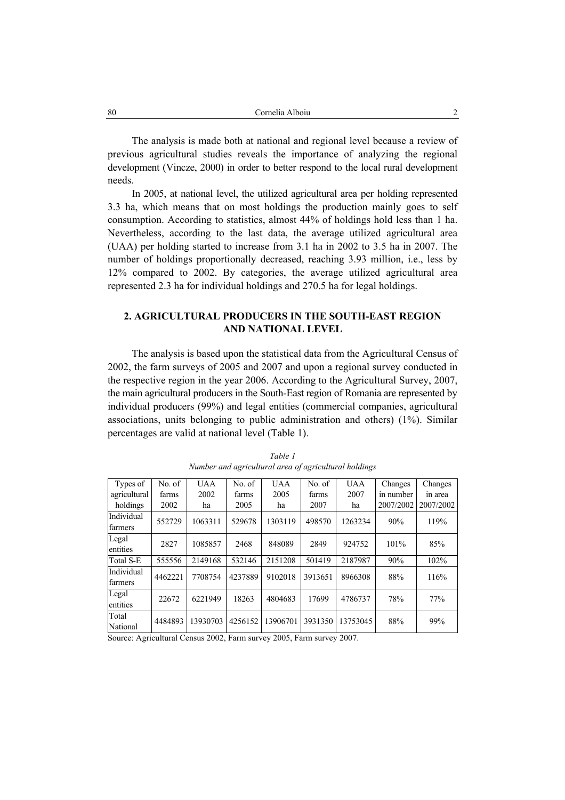The analysis is made both at national and regional level because a review of previous agricultural studies reveals the importance of analyzing the regional development (Vincze, 2000) in order to better respond to the local rural development needs.

In 2005, at national level, the utilized agricultural area per holding represented 3.3 ha, which means that on most holdings the production mainly goes to self consumption. According to statistics, almost 44% of holdings hold less than 1 ha. Nevertheless, according to the last data, the average utilized agricultural area (UAA) per holding started to increase from 3.1 ha in 2002 to 3.5 ha in 2007. The number of holdings proportionally decreased, reaching 3.93 million, i.e., less by 12% compared to 2002. By categories, the average utilized agricultural area represented 2.3 ha for individual holdings and 270.5 ha for legal holdings.

# **2. AGRICULTURAL PRODUCERS IN THE SOUTH-EAST REGION AND NATIONAL LEVEL**

The analysis is based upon the statistical data from the Agricultural Census of 2002, the farm surveys of 2005 and 2007 and upon a regional survey conducted in the respective region in the year 2006. According to the Agricultural Survey, 2007, the main agricultural producers in the South-East region of Romania are represented by individual producers (99%) and legal entities (commercial companies, agricultural associations, units belonging to public administration and others) (1%). Similar percentages are valid at national level (Table 1).

| Types of              | No. of  | <b>UAA</b> | No. of  | <b>UAA</b> | No. of  | <b>UAA</b> | Changes   | Changes   |
|-----------------------|---------|------------|---------|------------|---------|------------|-----------|-----------|
| agricultural          | farms   | 2002       | farms   | 2005       | farms   | 2007       | in number | in area   |
| holdings              | 2002    | ha         | 2005    | ha         | 2007    | ha         | 2007/2002 | 2007/2002 |
| Individual<br>farmers | 552729  | 1063311    | 529678  | 1303119    | 498570  | 1263234    | 90%       | 119%      |
| Legal<br>entities     | 2827    | 1085857    | 2468    | 848089     | 2849    | 924752     | $101\%$   | 85%       |
| Total S-E             | 555556  | 2149168    | 532146  | 2151208    | 501419  | 2187987    | 90%       | 102%      |
| Individual<br>farmers | 4462221 | 7708754    | 4237889 | 9102018    | 3913651 | 8966308    | 88%       | 116%      |
| Legal<br>entities     | 22672   | 6221949    | 18263   | 4804683    | 17699   | 4786737    | 78%       | 77%       |
| Total<br>National     | 4484893 | 13930703   | 4256152 | 13906701   | 3931350 | 13753045   | 88%       | 99%       |

*Table 1 Number and agricultural area of agricultural holdings* 

Source: Agricultural Census 2002, Farm survey 2005, Farm survey 2007.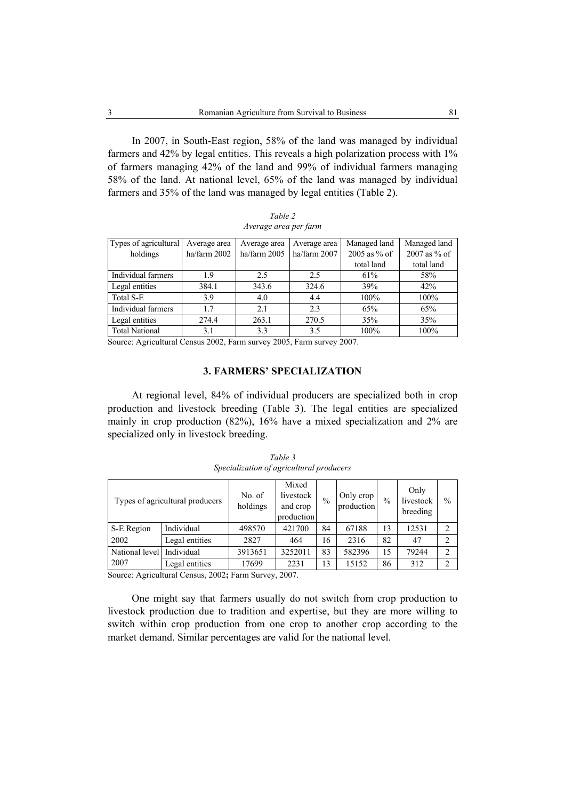In 2007, in South-East region, 58% of the land was managed by individual farmers and 42% by legal entities. This reveals a high polarization process with 1% of farmers managing 42% of the land and 99% of individual farmers managing 58% of the land. At national level, 65% of the land was managed by individual farmers and 35% of the land was managed by legal entities (Table 2).

| Types of agricultural | Average area | Average area | Average area | Managed land   | Managed land   |  |  |  |  |
|-----------------------|--------------|--------------|--------------|----------------|----------------|--|--|--|--|
| holdings              | ha/farm 2002 | ha/farm 2005 | ha/farm 2007 | $2005$ as % of | $2007$ as % of |  |  |  |  |
|                       |              |              |              | total land     | total land     |  |  |  |  |
| Individual farmers    | 1.9          | 2.5          | 2.5          | 61%            | 58%            |  |  |  |  |
| Legal entities        | 384.1        | 343.6        | 324.6        | 39%            | 42%            |  |  |  |  |
| Total S-E             | 3.9          | 4.0          | 4.4          | 100%           | 100%           |  |  |  |  |
| Individual farmers    | 17           | 2.1          | 2.3          | 65%            | 65%            |  |  |  |  |
| Legal entities        | 274.4        | 263.1        | 270.5        | 35%            | 35%            |  |  |  |  |
| <b>Total National</b> | 3.1          | 3.3          | 3.5          | 100%           | 100%           |  |  |  |  |

*Table 2 Average area per farm* 

Source: Agricultural Census 2002, Farm survey 2005, Farm survey 2007.

# **3. FARMERS' SPECIALIZATION**

At regional level, 84% of individual producers are specialized both in crop production and livestock breeding (Table 3). The legal entities are specialized mainly in crop production (82%), 16% have a mixed specialization and 2% are specialized only in livestock breeding.

| Types of agricultural producers |                | No. of<br>holdings | Mixed<br>livestock<br>and crop<br>production | $\%$ | Only crop<br>production | $\frac{0}{0}$ | Only<br>livestock<br>breeding | $\frac{0}{0}$  |
|---------------------------------|----------------|--------------------|----------------------------------------------|------|-------------------------|---------------|-------------------------------|----------------|
| S-E Region                      | Individual     | 498570             | 421700                                       | 84   | 67188                   | 13            | 12531                         | $\overline{2}$ |
| 2002                            | Legal entities | 2827               | 464                                          | 16   | 2316                    | 82            | 47                            |                |
| National level                  | Individual     | 3913651            | 3252011                                      | 83   | 582396                  | 15            | 79244                         | $\overline{2}$ |
| 2007                            | Legal entities | 17699              | 2231                                         | 13   | 15152                   | 86            | 312                           | ◠              |

*Table 3 Specialization of agricultural producers* 

Source: Agricultural Census, 2002**;** Farm Survey, 2007.

One might say that farmers usually do not switch from crop production to livestock production due to tradition and expertise, but they are more willing to switch within crop production from one crop to another crop according to the market demand. Similar percentages are valid for the national level.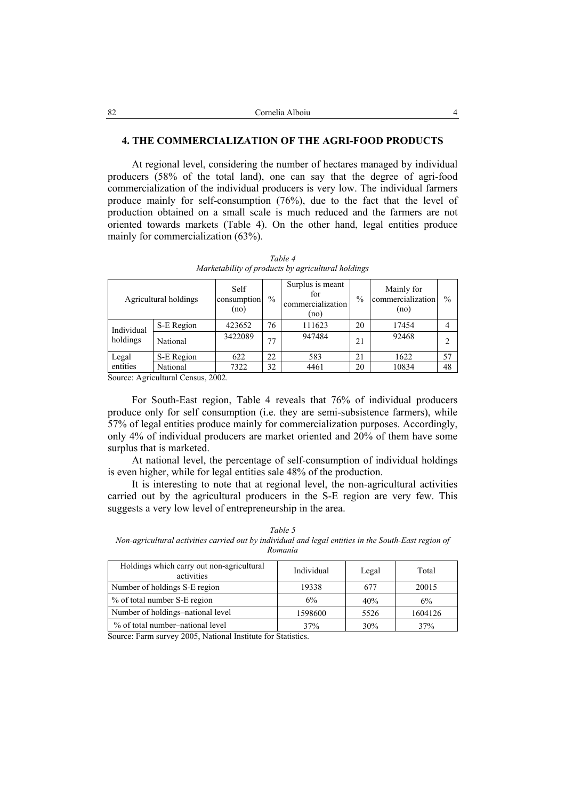### **4. THE COMMERCIALIZATION OF THE AGRI-FOOD PRODUCTS**

At regional level, considering the number of hectares managed by individual producers (58% of the total land), one can say that the degree of agri-food commercialization of the individual producers is very low. The individual farmers produce mainly for self-consumption (76%), due to the fact that the level of production obtained on a small scale is much reduced and the farmers are not oriented towards markets (Table 4). On the other hand, legal entities produce mainly for commercialization (63%).

|            | Agricultural holdings | Self<br>consumption<br>(no) | $\%$ | Surplus is meant<br>for<br>commercialization<br>(no) | $\frac{0}{0}$ | Mainly for<br>commercialization<br>(no) | $\frac{0}{0}$ |
|------------|-----------------------|-----------------------------|------|------------------------------------------------------|---------------|-----------------------------------------|---------------|
| Individual | S-E Region            | 423652                      | 76   | 111623                                               | 20            | 17454                                   | 4             |
| holdings   | National              | 3422089                     | 77   | 947484                                               | 21            | 92468                                   | $\mathcal{D}$ |
| Legal      | S-E Region            | 622                         | 22   | 583                                                  | 21            | 1622                                    | 57            |
| entities   | National              | 7322                        | 32   | 4461                                                 | 20            | 10834                                   | 48            |

*Table 4 Marketability of products by agricultural holdings* 

Source: Agricultural Census, 2002.

For South-East region, Table 4 reveals that 76% of individual producers produce only for self consumption (i.e. they are semi-subsistence farmers), while 57% of legal entities produce mainly for commercialization purposes. Accordingly, only 4% of individual producers are market oriented and 20% of them have some surplus that is marketed.

At national level, the percentage of self-consumption of individual holdings is even higher, while for legal entities sale 48% of the production.

It is interesting to note that at regional level, the non-agricultural activities carried out by the agricultural producers in the S-E region are very few. This suggests a very low level of entrepreneurship in the area.

*Table 5 Non-agricultural activities carried out by individual and legal entities in the South-East region of Romania* 

| Holdings which carry out non-agricultural<br>activities | Individual | Legal | Total   |
|---------------------------------------------------------|------------|-------|---------|
| Number of holdings S-E region                           | 19338      | 677   | 20015   |
| % of total number S-E region                            | 6%         | 40%   | 6%      |
| Number of holdings-national level                       | 1598600    | 5526  | 1604126 |
| % of total number–national level                        | 37%        | 30%   | 37%     |

Source: Farm survey 2005, National Institute for Statistics.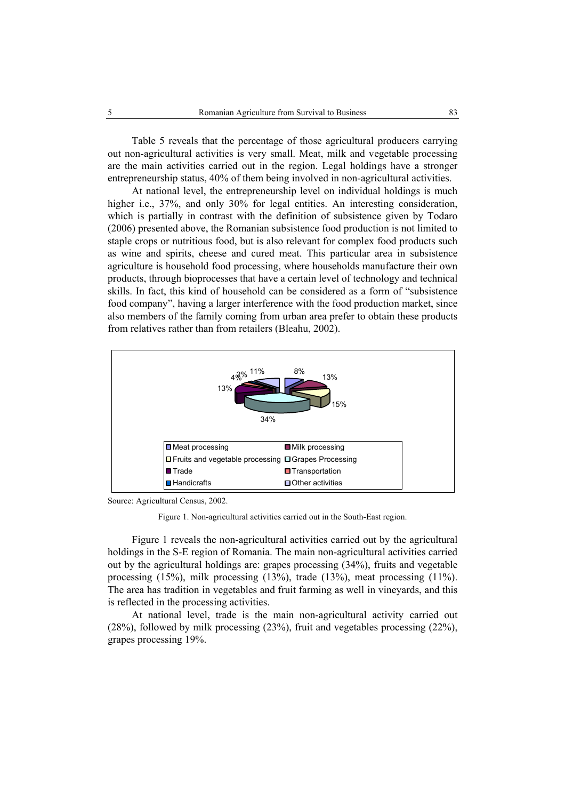Table 5 reveals that the percentage of those agricultural producers carrying out non-agricultural activities is very small. Meat, milk and vegetable processing are the main activities carried out in the region. Legal holdings have a stronger entrepreneurship status, 40% of them being involved in non-agricultural activities.

At national level, the entrepreneurship level on individual holdings is much higher i.e., 37%, and only 30% for legal entities. An interesting consideration, which is partially in contrast with the definition of subsistence given by Todaro (2006) presented above, the Romanian subsistence food production is not limited to staple crops or nutritious food, but is also relevant for complex food products such as wine and spirits, cheese and cured meat. This particular area in subsistence agriculture is household food processing, where households manufacture their own products, through bioprocesses that have a certain level of technology and technical skills. In fact, this kind of household can be considered as a form of "subsistence food company", having a larger interference with the food production market, since also members of the family coming from urban area prefer to obtain these products from relatives rather than from retailers (Bleahu, 2002).



Source: Agricultural Census, 2002.

Figure 1. Non-agricultural activities carried out in the South-East region.

Figure 1 reveals the non-agricultural activities carried out by the agricultural holdings in the S-E region of Romania. The main non-agricultural activities carried out by the agricultural holdings are: grapes processing (34%), fruits and vegetable processing (15%), milk processing (13%), trade (13%), meat processing (11%). The area has tradition in vegetables and fruit farming as well in vineyards, and this is reflected in the processing activities.

At national level, trade is the main non-agricultural activity carried out (28%), followed by milk processing (23%), fruit and vegetables processing (22%), grapes processing 19%.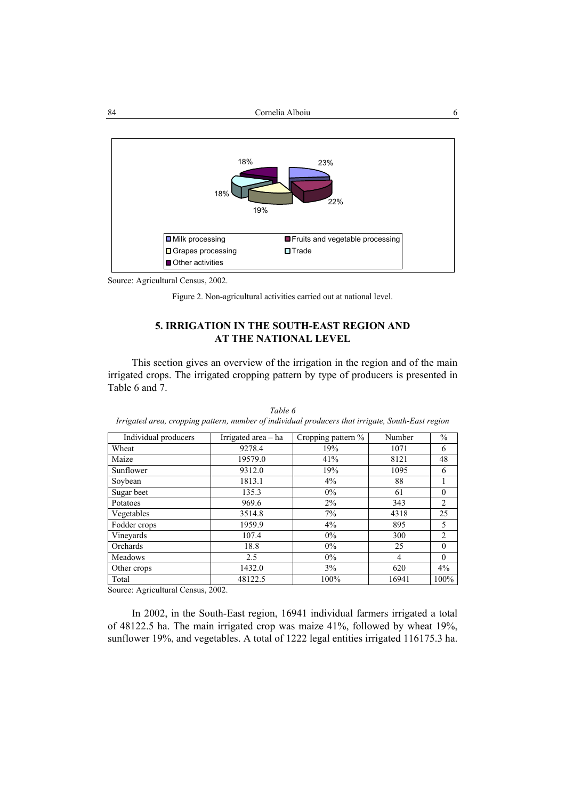

Source: Agricultural Census, 2002.

Figure 2. Non-agricultural activities carried out at national level.

# **5. IRRIGATION IN THE SOUTH-EAST REGION AND AT THE NATIONAL LEVEL**

This section gives an overview of the irrigation in the region and of the main irrigated crops. The irrigated cropping pattern by type of producers is presented in Table 6 and 7.

| Individual producers | Irrigated area $-$ ha | Cropping pattern % | Number         | $\frac{0}{0}$  |
|----------------------|-----------------------|--------------------|----------------|----------------|
|                      |                       |                    |                |                |
| Wheat                | 9278.4                | 19%                | 1071           | 6              |
| Maize                | 19579.0               | 41%                | 8121           | 48             |
| Sunflower            | 9312.0                | 19%                | 1095           | 6              |
| Soybean              | 1813.1                | $4\%$              | 88             |                |
| Sugar beet           | 135.3                 | 0%                 | 61             | $\theta$       |
| Potatoes             | 969.6                 | $2\%$              | 343            | $\overline{2}$ |
| Vegetables           | 3514.8                | 7%                 | 4318           | 25             |
| Fodder crops         | 1959.9                | 4%                 | 895            | 5              |
| Vineyards            | 107.4                 | $0\%$              | 300            | $\overline{2}$ |
| Orchards             | 18.8                  | $0\%$              | 25             | $\Omega$       |
| Meadows              | 2.5                   | $0\%$              | $\overline{4}$ | $\theta$       |
| Other crops          | 1432.0                | 3%                 | 620            | 4%             |
| Total                | 48122.5               | 100%               | 16941          | 100%           |

*Table 6 Irrigated area, cropping pattern, number of individual producers that irrigate, South-East region* 

Source: Agricultural Census, 2002.

In 2002, in the South-East region, 16941 individual farmers irrigated a total of 48122.5 ha. The main irrigated crop was maize 41%, followed by wheat 19%, sunflower 19%, and vegetables. A total of 1222 legal entities irrigated 116175.3 ha.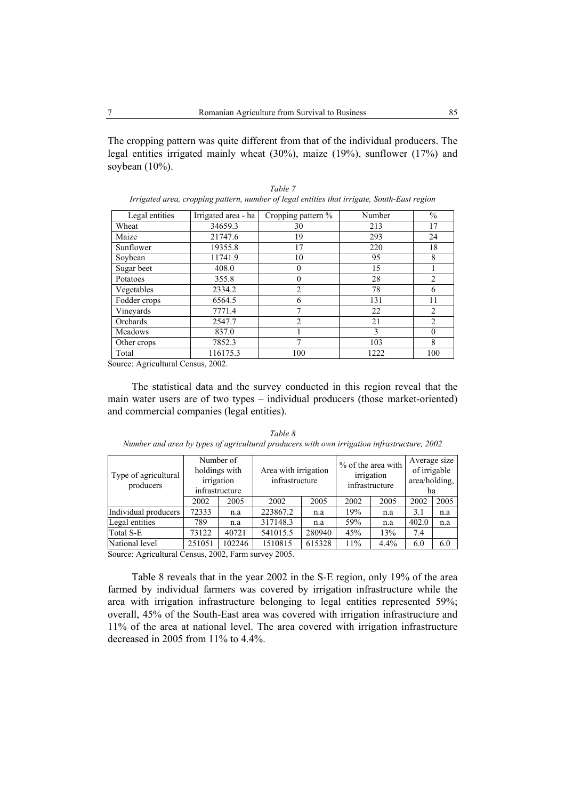The cropping pattern was quite different from that of the individual producers. The legal entities irrigated mainly wheat (30%), maize (19%), sunflower (17%) and soybean (10%).

| Legal entities | Irrigated area - ha | $\overline{C}$ ropping pattern % | Number | $\frac{0}{0}$  |
|----------------|---------------------|----------------------------------|--------|----------------|
| Wheat          | 34659.3             | 30                               | 213    | 17             |
| Maize          | 21747.6             | 19                               | 293    | 24             |
| Sunflower      | 19355.8             | 17                               | 220    | 18             |
| Soybean        | 11741.9             | 10                               | 95     | 8              |
| Sugar beet     | 408.0               | $\theta$                         | 15     |                |
| Potatoes       | 355.8               | $\theta$                         | 28     | 2              |
| Vegetables     | 2334.2              | $\overline{2}$                   | 78     | 6              |
| Fodder crops   | 6564.5              | 6                                | 131    | 11             |
| Vineyards      | 7771.4              | 7                                | 22     | $\overline{2}$ |
| Orchards       | 2547.7              | $\mathfrak{D}$                   | 21     | $\overline{c}$ |
| Meadows        | 837.0               |                                  | 3      | $\theta$       |
| Other crops    | 7852.3              | 7                                | 103    | 8              |
| Total          | 116175.3            | 100                              | 1222   | 100            |

*Table 7 Irrigated area, cropping pattern, number of legal entities that irrigate, South-East region* 

Source: Agricultural Census, 2002.

The statistical data and the survey conducted in this region reveal that the main water users are of two types – individual producers (those market-oriented) and commercial companies (legal entities).

| Type of agricultural<br>producers |        | Number of<br>holdings with<br>irrigation<br>infrastructure | Area with irrigation<br>infrastructure |        | % of the area with<br>irrigation<br>infrastructure |      | Average size<br>of irrigable<br>area/holding,<br>ha |      |
|-----------------------------------|--------|------------------------------------------------------------|----------------------------------------|--------|----------------------------------------------------|------|-----------------------------------------------------|------|
|                                   | 2002   | 2005                                                       | 2002                                   | 2005   | 2002                                               | 2005 | 2002                                                | 2005 |
| Individual producers              | 72333  | n.a                                                        | 223867.2                               | n.a    | 19%                                                | n.a  | 3.1                                                 | n.a  |
| Legal entities                    | 789    | n.a                                                        | 317148.3                               | n.a    | 59%                                                | n.a  | 402.0                                               | n.a  |
| Total S-E                         | 73122  | 40721                                                      | 541015.5                               | 280940 | 45%                                                | 13%  | 7.4                                                 |      |
| National level                    | 251051 | 102246                                                     | 1510815                                | 615328 | 11%                                                | 4.4% | 6.0                                                 | 6.0  |

*Table 8 Number and area by types of agricultural producers with own irrigation infrastructure, 2002* 

Source: Agricultural Census, 2002, Farm survey 2005.

Table 8 reveals that in the year 2002 in the S-E region, only 19% of the area farmed by individual farmers was covered by irrigation infrastructure while the area with irrigation infrastructure belonging to legal entities represented 59%; overall, 45% of the South-East area was covered with irrigation infrastructure and 11% of the area at national level. The area covered with irrigation infrastructure decreased in 2005 from 11% to 4.4%.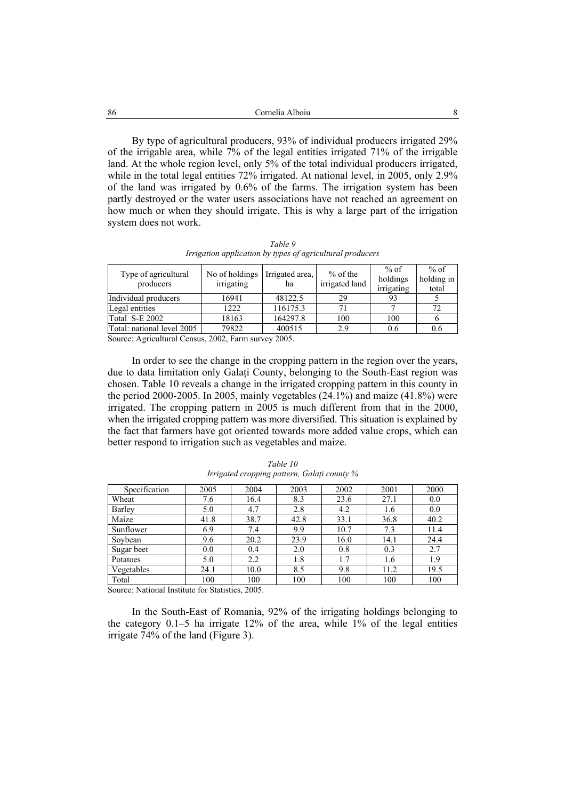| -86 | Cornelia Alboiu                                                                                                                                                                                                                                                                                                                                                                                                                                            |
|-----|------------------------------------------------------------------------------------------------------------------------------------------------------------------------------------------------------------------------------------------------------------------------------------------------------------------------------------------------------------------------------------------------------------------------------------------------------------|
|     |                                                                                                                                                                                                                                                                                                                                                                                                                                                            |
|     | By type of agricultural producers, 93% of individual producers irrigated 29%                                                                                                                                                                                                                                                                                                                                                                               |
|     | of the irrigable area, while 7% of the legal entities irrigated 71% of the irrigable                                                                                                                                                                                                                                                                                                                                                                       |
|     | $1 \quad 1 \quad 1 \quad 1 \quad 1 \quad 1 \quad 2 \quad 1 \quad 1 \quad 2 \quad 3 \quad 4 \quad 5 \quad 6 \quad 7 \quad 8 \quad 1 \quad 1 \quad 1 \quad 1 \quad 1 \quad 1 \quad 1 \quad 1 \quad 2 \quad 3 \quad 1 \quad 3 \quad 2 \quad 3 \quad 4 \quad 5 \quad 6 \quad 7 \quad 8 \quad 7 \quad 8 \quad 8 \quad 9 \quad 1 \quad 1 \quad 1 \quad 1 \quad 1 \quad 1 \quad 2 \quad 3 \quad 3 \quad 4 \quad 5 \quad 6 \quad 6 \quad 7 \quad 8 \quad 7 \quad $ |

land. At the whole region level, only 5% of the total individual producers irrigated, while in the total legal entities 72% irrigated. At national level, in 2005, only 2.9% of the land was irrigated by 0.6% of the farms. The irrigation system has been partly destroyed or the water users associations have not reached an agreement on how much or when they should irrigate. This is why a large part of the irrigation system does not work.

*Table 9 Irrigation application by types of agricultural producers* 

| Type of agricultural<br>producers | No of holdings<br>irrigating | Irrigated area.<br>ha             | $%$ of the<br>irrigated land | $%$ of<br>holdings<br>irrigating | $%$ of<br>holding in<br>total |
|-----------------------------------|------------------------------|-----------------------------------|------------------------------|----------------------------------|-------------------------------|
| Individual producers              | 16941                        | 48122.5                           | 29                           |                                  |                               |
| Legal entities                    | 1222                         | 116175.3                          | 71                           |                                  | 72                            |
| Total S-E 2002                    | 18163                        | 164297.8                          | 100                          | 100                              |                               |
| Total: national level 2005        | 79822                        | 400515                            | 2.9                          | 0.6                              | 0.6                           |
| $\cdots$<br>$\sim$<br>$\sim$      | $0.002 \text{ m}$            | $\bullet \bullet \bullet \bullet$ |                              |                                  |                               |

Source: Agricultural Census, 2002, Farm survey 2005.

In order to see the change in the cropping pattern in the region over the years, due to data limitation only Galati County, belonging to the South-East region was chosen. Table 10 reveals a change in the irrigated cropping pattern in this county in the period 2000-2005. In 2005, mainly vegetables  $(24.1\%)$  and maize  $(41.8\%)$  were irrigated. The cropping pattern in 2005 is much different from that in the 2000, when the irrigated cropping pattern was more diversified. This situation is explained by the fact that farmers have got oriented towards more added value crops, which can better respond to irrigation such as vegetables and maize.

| Specification | 2005 | 2004 | 2003 | 2002 | 2001 | 2000 |
|---------------|------|------|------|------|------|------|
| Wheat         | 7.6  | 16.4 | 8.3  | 23.6 | 27.1 | 0.0  |
| Barley        | 5.0  | 4.7  | 2.8  | 4.2  | 1.6  | 0.0  |
| Maize         | 41.8 | 38.7 | 42.8 | 33.1 | 36.8 | 40.2 |
| Sunflower     | 6.9  | 7.4  | 9.9  | 10.7 | 7.3  | 11.4 |
| Soybean       | 9.6  | 20.2 | 23.9 | 16.0 | 14.1 | 24.4 |
| Sugar beet    | 0.0  | 0.4  | 2.0  | 0.8  | 0.3  | 2.7  |
| Potatoes      | 5.0  | 2.2  | 1.8  | 1.7  | 1.6  | 1.9  |
| Vegetables    | 24.1 | 10.0 | 8.5  | 9.8  | 11.2 | 19.5 |
| Total         | 100  | 100  | 100  | 100  | 100  | 100  |

*Table 10 Irrigated cropping pattern, Galaţi county %* 

Source: National Institute for Statistics, 2005.

In the South-East of Romania, 92% of the irrigating holdings belonging to the category  $0.1-5$  ha irrigate  $12\%$  of the area, while  $1\%$  of the legal entities irrigate 74% of the land (Figure 3).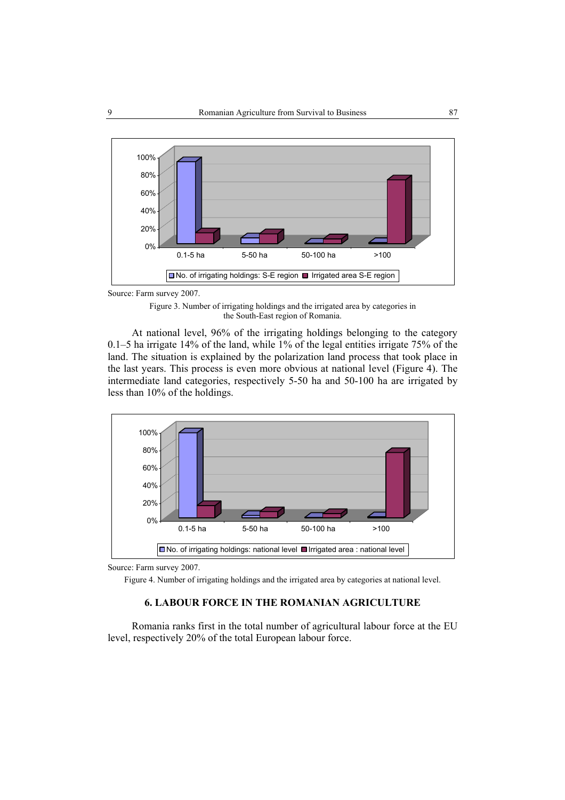

Source: Farm survey 2007.

Figure 3. Number of irrigating holdings and the irrigated area by categories in the South-East region of Romania.

At national level, 96% of the irrigating holdings belonging to the category 0.1–5 ha irrigate 14% of the land, while 1% of the legal entities irrigate 75% of the land. The situation is explained by the polarization land process that took place in the last years. This process is even more obvious at national level (Figure 4). The intermediate land categories, respectively 5-50 ha and 50-100 ha are irrigated by less than 10% of the holdings.



Source: Farm survey 2007.

Figure 4. Number of irrigating holdings and the irrigated area by categories at national level.

### **6. LABOUR FORCE IN THE ROMANIAN AGRICULTURE**

Romania ranks first in the total number of agricultural labour force at the EU level, respectively 20% of the total European labour force.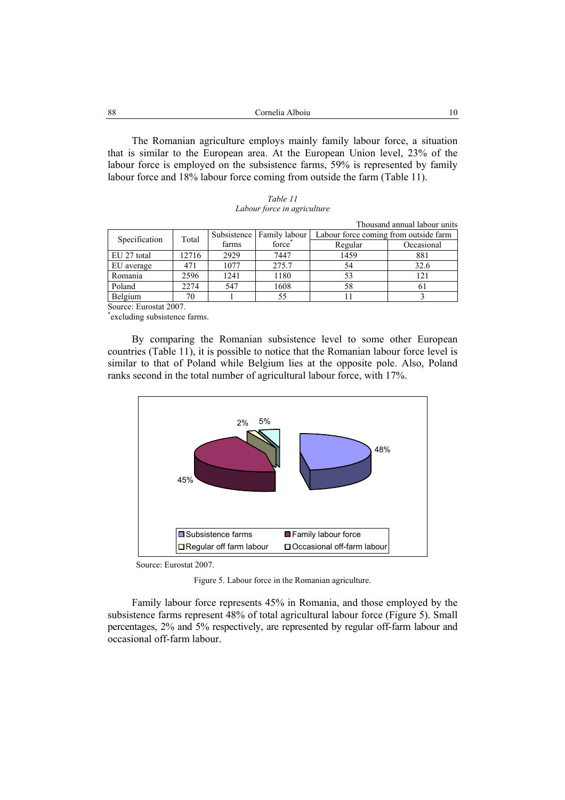| 88 | Cornelia Alboiu |  |
|----|-----------------|--|
|    |                 |  |

The Romanian agriculture employs mainly family labour force, a situation that is similar to the European area. At the European Union level, 23% of the labour force is employed on the subsistence farms, 59% is represented by family labour force and 18% labour force coming from outside the farm (Table 11).

| Table 11                    |  |  |  |  |  |
|-----------------------------|--|--|--|--|--|
| Labour force in agriculture |  |  |  |  |  |

|                                                         |       |       |                             |                                       | THOUSAIRE AIIIIUAI IADOUL UIIIIS |  |
|---------------------------------------------------------|-------|-------|-----------------------------|---------------------------------------|----------------------------------|--|
| Specification                                           | Total |       | Subsistence   Family labour | Labour force coming from outside farm |                                  |  |
|                                                         |       | farms | force                       | Regular                               | Occasional                       |  |
| EU 27 total                                             | 12716 | 2929  | 7447                        | 1459                                  | 881                              |  |
| EU average                                              | 471   | 1077  | 275.7                       | 54                                    | 32.6                             |  |
| Romania                                                 | 2596  | 1241  | 1180                        |                                       | 121                              |  |
| Poland                                                  | 2274  | 547   | 1608                        | 58                                    |                                  |  |
| Belgium                                                 | 70    |       | 55                          |                                       |                                  |  |
| $\sim$ $\sim$ $\sim$ $\sim$ $\sim$ $\sim$ $\sim$ $\sim$ |       |       |                             |                                       |                                  |  |

Source: Eurostat 2007.

\* excluding subsistence farms.

By comparing the Romanian subsistence level to some other European countries (Table 11), it is possible to notice that the Romanian labour force level is similar to that of Poland while Belgium lies at the opposite pole. Also, Poland ranks second in the total number of agricultural labour force, with 17%.



Source: Eurostat 2007.

Figure 5. Labour force in the Romanian agriculture.

Family labour force represents 45% in Romania, and those employed by the subsistence farms represent 48% of total agricultural labour force (Figure 5). Small percentages, 2% and 5% respectively, are represented by regular off-farm labour and occasional off-farm labour.

Thousand annual labour units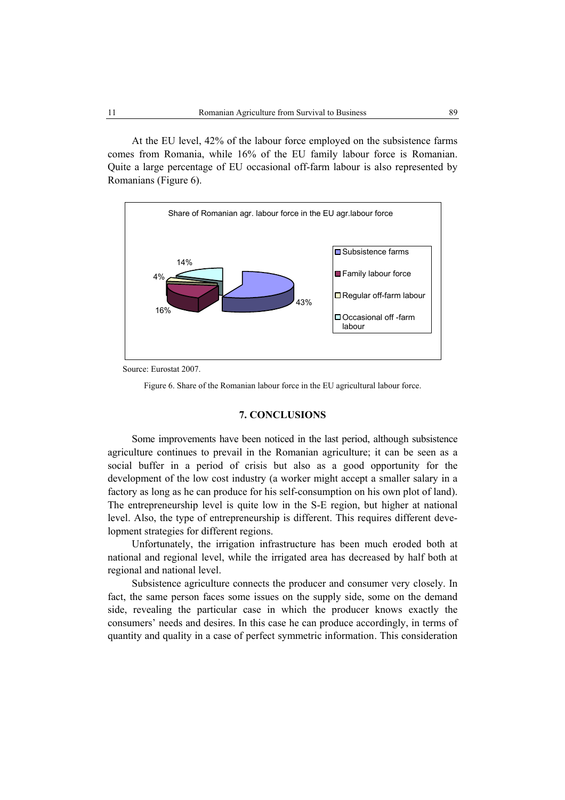At the EU level, 42% of the labour force employed on the subsistence farms comes from Romania, while 16% of the EU family labour force is Romanian. Quite a large percentage of EU occasional off-farm labour is also represented by Romanians (Figure 6).



Source: Eurostat 2007.

Figure 6. Share of the Romanian labour force in the EU agricultural labour force.

# **7. CONCLUSIONS**

Some improvements have been noticed in the last period, although subsistence agriculture continues to prevail in the Romanian agriculture; it can be seen as a social buffer in a period of crisis but also as a good opportunity for the development of the low cost industry (a worker might accept a smaller salary in a factory as long as he can produce for his self-consumption on his own plot of land). The entrepreneurship level is quite low in the S-E region, but higher at national level. Also, the type of entrepreneurship is different. This requires different development strategies for different regions.

Unfortunately, the irrigation infrastructure has been much eroded both at national and regional level, while the irrigated area has decreased by half both at regional and national level.

Subsistence agriculture connects the producer and consumer very closely. In fact, the same person faces some issues on the supply side, some on the demand side, revealing the particular case in which the producer knows exactly the consumers' needs and desires. In this case he can produce accordingly, in terms of quantity and quality in a case of perfect symmetric information. This consideration